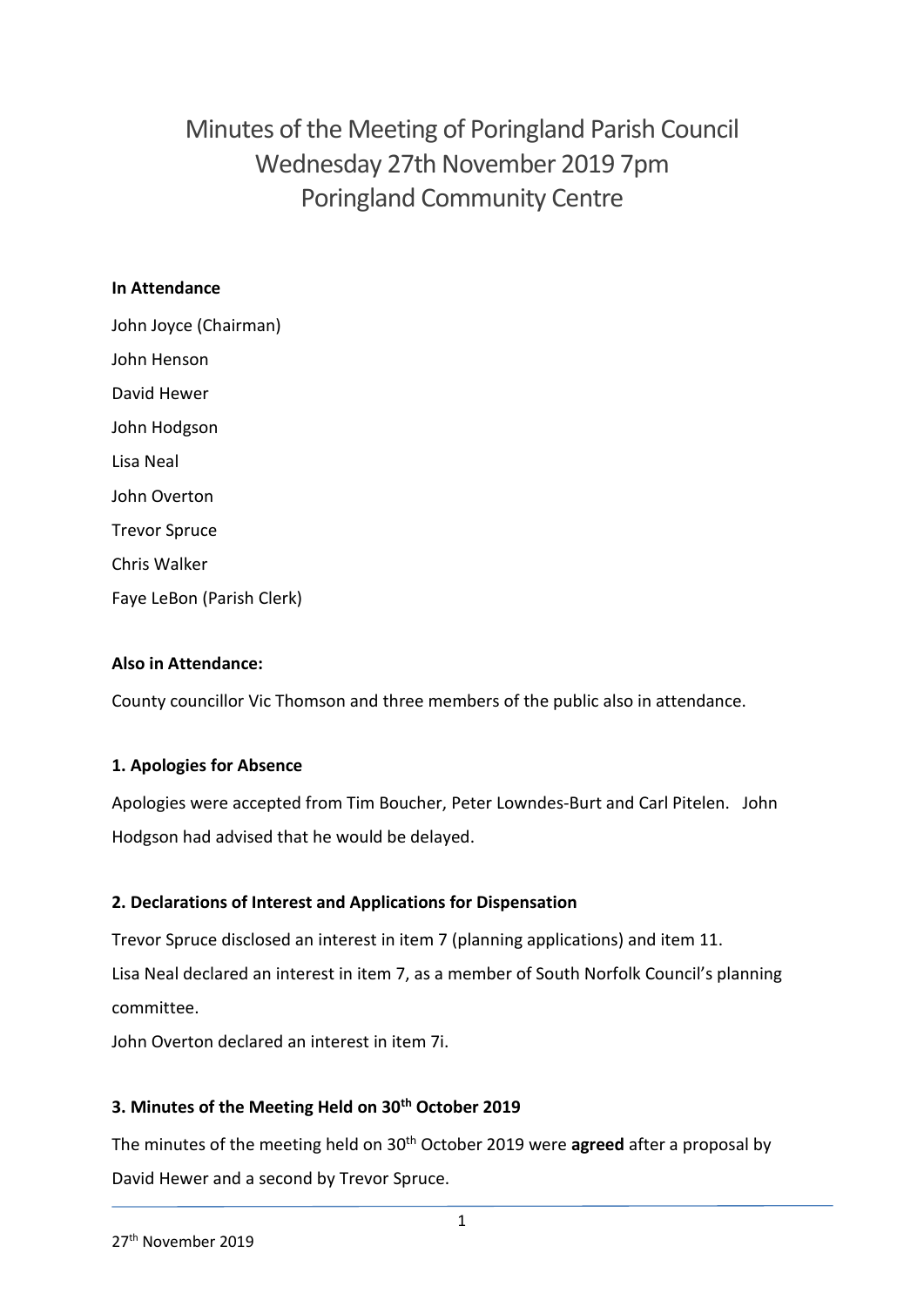Minutes of the Meeting of Poringland Parish Council Wednesday 27th November 2019 7pm Poringland Community Centre

# **In Attendance**

John Joyce (Chairman) John Henson David Hewer John Hodgson Lisa Neal John Overton Trevor Spruce Chris Walker Faye LeBon (Parish Clerk)

# **Also in Attendance:**

County councillor Vic Thomson and three members of the public also in attendance.

# **1. Apologies for Absence**

Apologies were accepted from Tim Boucher, Peter Lowndes-Burt and Carl Pitelen. John Hodgson had advised that he would be delayed.

# **2. Declarations of Interest and Applications for Dispensation**

Trevor Spruce disclosed an interest in item 7 (planning applications) and item 11. Lisa Neal declared an interest in item 7, as a member of South Norfolk Council's planning committee.

John Overton declared an interest in item 7i.

# **3. Minutes of the Meeting Held on 30th October 2019**

The minutes of the meeting held on 30th October 2019 were **agreed** after a proposal by David Hewer and a second by Trevor Spruce.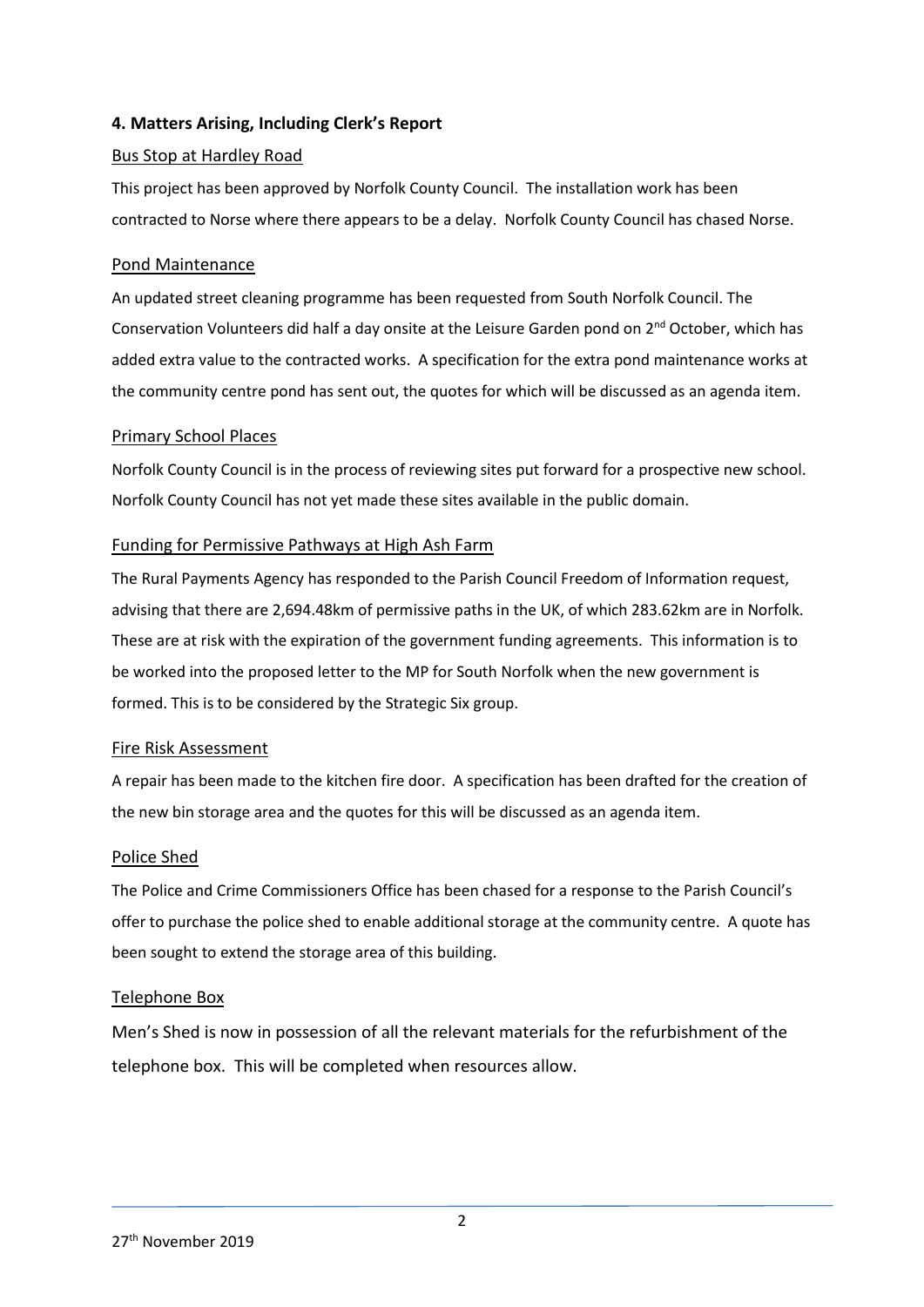# **4. Matters Arising, Including Clerk's Report**

## Bus Stop at Hardley Road

This project has been approved by Norfolk County Council. The installation work has been contracted to Norse where there appears to be a delay. Norfolk County Council has chased Norse.

#### Pond Maintenance

An updated street cleaning programme has been requested from South Norfolk Council. The Conservation Volunteers did half a day onsite at the Leisure Garden pond on 2nd October, which has added extra value to the contracted works. A specification for the extra pond maintenance works at the community centre pond has sent out, the quotes for which will be discussed as an agenda item.

#### Primary School Places

Norfolk County Council is in the process of reviewing sites put forward for a prospective new school. Norfolk County Council has not yet made these sites available in the public domain.

#### Funding for Permissive Pathways at High Ash Farm

The Rural Payments Agency has responded to the Parish Council Freedom of Information request, advising that there are 2,694.48km of permissive paths in the UK, of which 283.62km are in Norfolk. These are at risk with the expiration of the government funding agreements. This information is to be worked into the proposed letter to the MP for South Norfolk when the new government is formed. This is to be considered by the Strategic Six group.

#### Fire Risk Assessment

A repair has been made to the kitchen fire door. A specification has been drafted for the creation of the new bin storage area and the quotes for this will be discussed as an agenda item.

#### Police Shed

The Police and Crime Commissioners Office has been chased for a response to the Parish Council's offer to purchase the police shed to enable additional storage at the community centre. A quote has been sought to extend the storage area of this building.

## Telephone Box

Men's Shed is now in possession of all the relevant materials for the refurbishment of the telephone box. This will be completed when resources allow.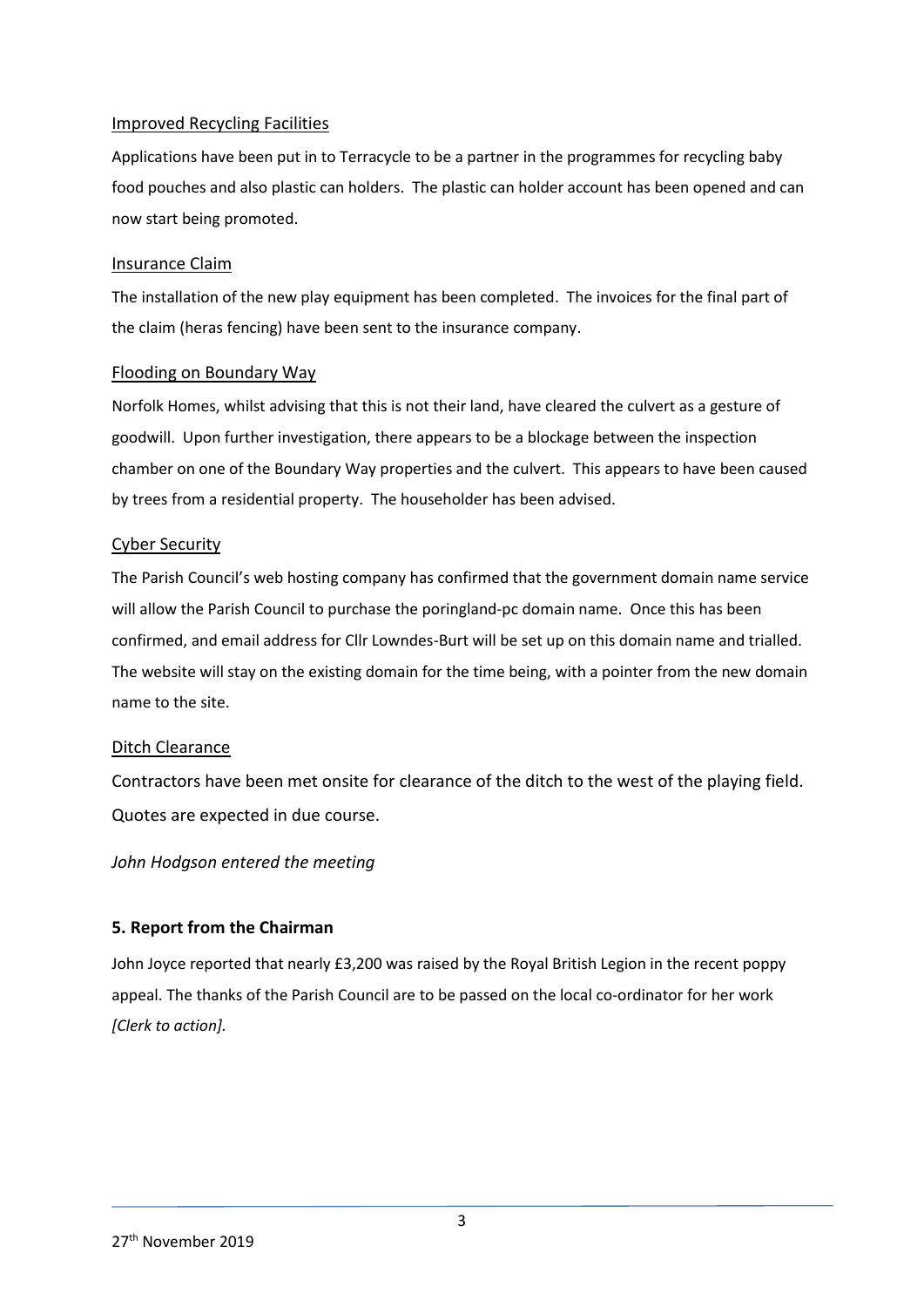## Improved Recycling Facilities

Applications have been put in to Terracycle to be a partner in the programmes for recycling baby food pouches and also plastic can holders. The plastic can holder account has been opened and can now start being promoted.

#### Insurance Claim

The installation of the new play equipment has been completed. The invoices for the final part of the claim (heras fencing) have been sent to the insurance company.

#### Flooding on Boundary Way

Norfolk Homes, whilst advising that this is not their land, have cleared the culvert as a gesture of goodwill. Upon further investigation, there appears to be a blockage between the inspection chamber on one of the Boundary Way properties and the culvert. This appears to have been caused by trees from a residential property. The householder has been advised.

#### Cyber Security

The Parish Council's web hosting company has confirmed that the government domain name service will allow the Parish Council to purchase the poringland-pc domain name. Once this has been confirmed, and email address for Cllr Lowndes-Burt will be set up on this domain name and trialled. The website will stay on the existing domain for the time being, with a pointer from the new domain name to the site.

## Ditch Clearance

Contractors have been met onsite for clearance of the ditch to the west of the playing field. Quotes are expected in due course.

## *John Hodgson entered the meeting*

## **5. Report from the Chairman**

John Joyce reported that nearly £3,200 was raised by the Royal British Legion in the recent poppy appeal. The thanks of the Parish Council are to be passed on the local co-ordinator for her work *[Clerk to action].*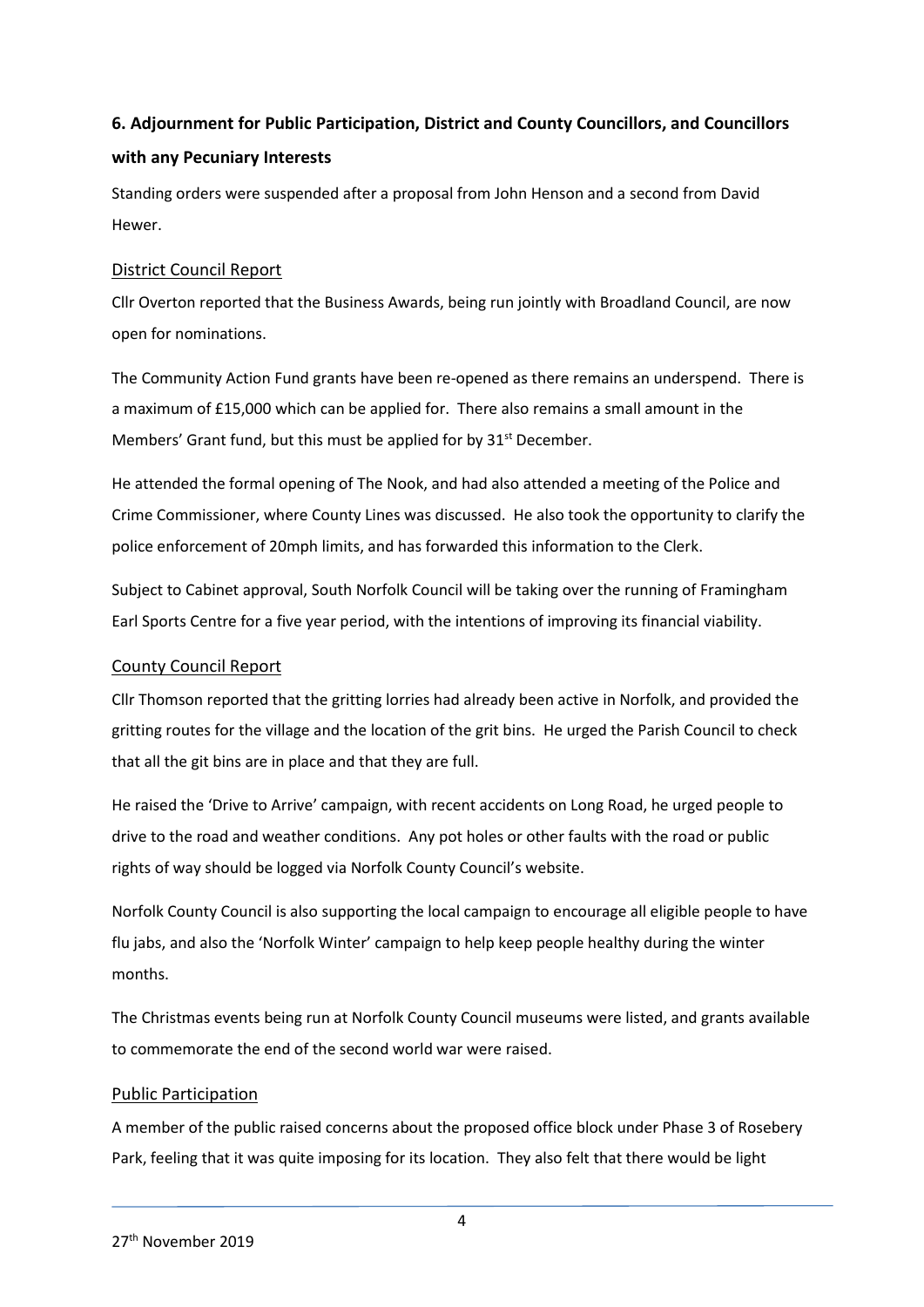# **6. Adjournment for Public Participation, District and County Councillors, and Councillors with any Pecuniary Interests**

Standing orders were suspended after a proposal from John Henson and a second from David Hewer.

# District Council Report

Cllr Overton reported that the Business Awards, being run jointly with Broadland Council, are now open for nominations.

The Community Action Fund grants have been re-opened as there remains an underspend. There is a maximum of £15,000 which can be applied for. There also remains a small amount in the Members' Grant fund, but this must be applied for by 31<sup>st</sup> December.

He attended the formal opening of The Nook, and had also attended a meeting of the Police and Crime Commissioner, where County Lines was discussed. He also took the opportunity to clarify the police enforcement of 20mph limits, and has forwarded this information to the Clerk.

Subject to Cabinet approval, South Norfolk Council will be taking over the running of Framingham Earl Sports Centre for a five year period, with the intentions of improving its financial viability.

# County Council Report

Cllr Thomson reported that the gritting lorries had already been active in Norfolk, and provided the gritting routes for the village and the location of the grit bins. He urged the Parish Council to check that all the git bins are in place and that they are full.

He raised the 'Drive to Arrive' campaign, with recent accidents on Long Road, he urged people to drive to the road and weather conditions. Any pot holes or other faults with the road or public rights of way should be logged via Norfolk County Council's website.

Norfolk County Council is also supporting the local campaign to encourage all eligible people to have flu jabs, and also the 'Norfolk Winter' campaign to help keep people healthy during the winter months.

The Christmas events being run at Norfolk County Council museums were listed, and grants available to commemorate the end of the second world war were raised.

# Public Participation

A member of the public raised concerns about the proposed office block under Phase 3 of Rosebery Park, feeling that it was quite imposing for its location. They also felt that there would be light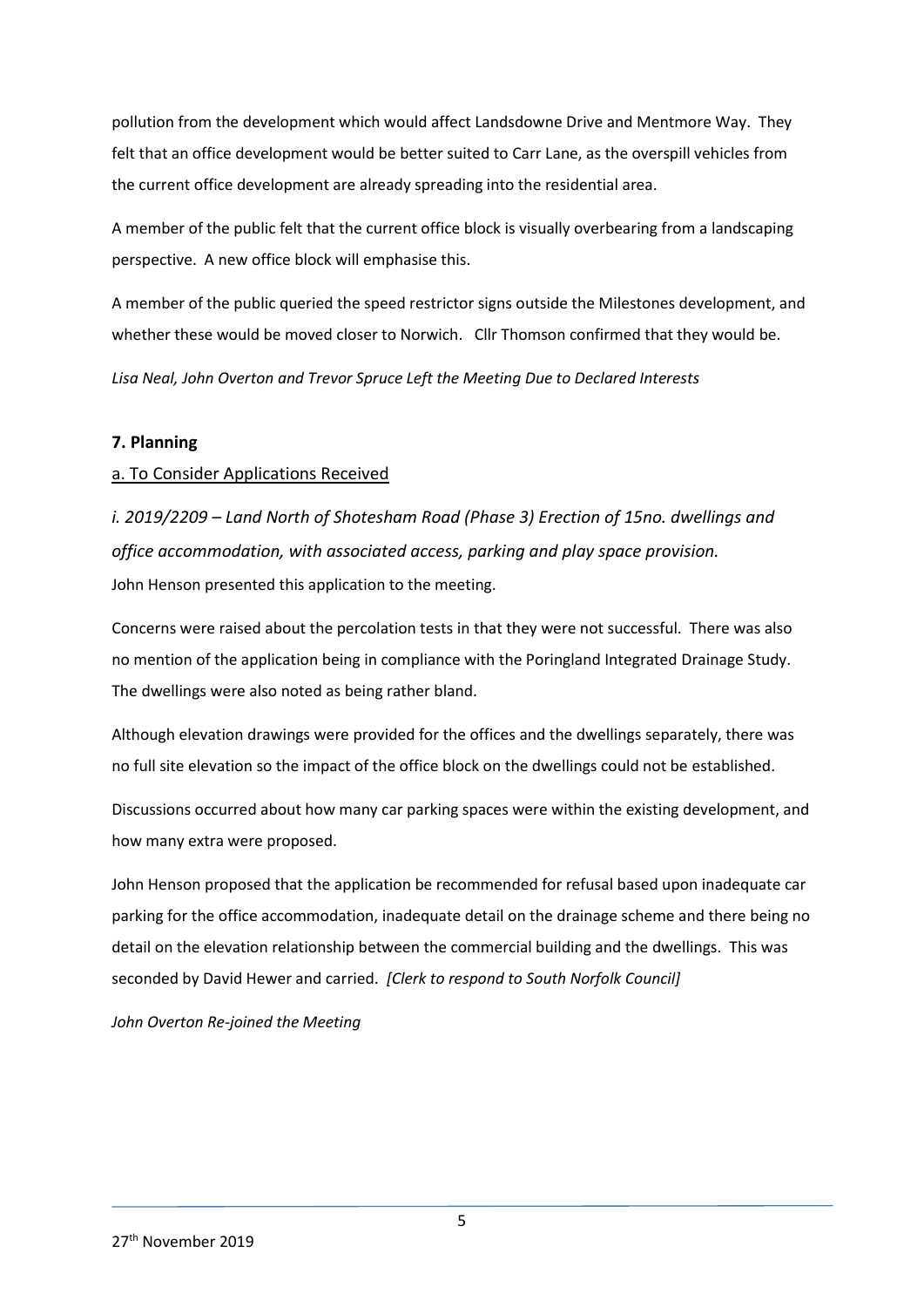pollution from the development which would affect Landsdowne Drive and Mentmore Way. They felt that an office development would be better suited to Carr Lane, as the overspill vehicles from the current office development are already spreading into the residential area.

A member of the public felt that the current office block is visually overbearing from a landscaping perspective. A new office block will emphasise this.

A member of the public queried the speed restrictor signs outside the Milestones development, and whether these would be moved closer to Norwich. Cllr Thomson confirmed that they would be.

*Lisa Neal, John Overton and Trevor Spruce Left the Meeting Due to Declared Interests*

# **7. Planning**

# a. To Consider Applications Received

*i. 2019/2209 – Land North of Shotesham Road (Phase 3) Erection of 15no. dwellings and office accommodation, with associated access, parking and play space provision.* John Henson presented this application to the meeting.

Concerns were raised about the percolation tests in that they were not successful. There was also no mention of the application being in compliance with the Poringland Integrated Drainage Study. The dwellings were also noted as being rather bland.

Although elevation drawings were provided for the offices and the dwellings separately, there was no full site elevation so the impact of the office block on the dwellings could not be established.

Discussions occurred about how many car parking spaces were within the existing development, and how many extra were proposed.

John Henson proposed that the application be recommended for refusal based upon inadequate car parking for the office accommodation, inadequate detail on the drainage scheme and there being no detail on the elevation relationship between the commercial building and the dwellings. This was seconded by David Hewer and carried. *[Clerk to respond to South Norfolk Council]*

*John Overton Re-joined the Meeting*

5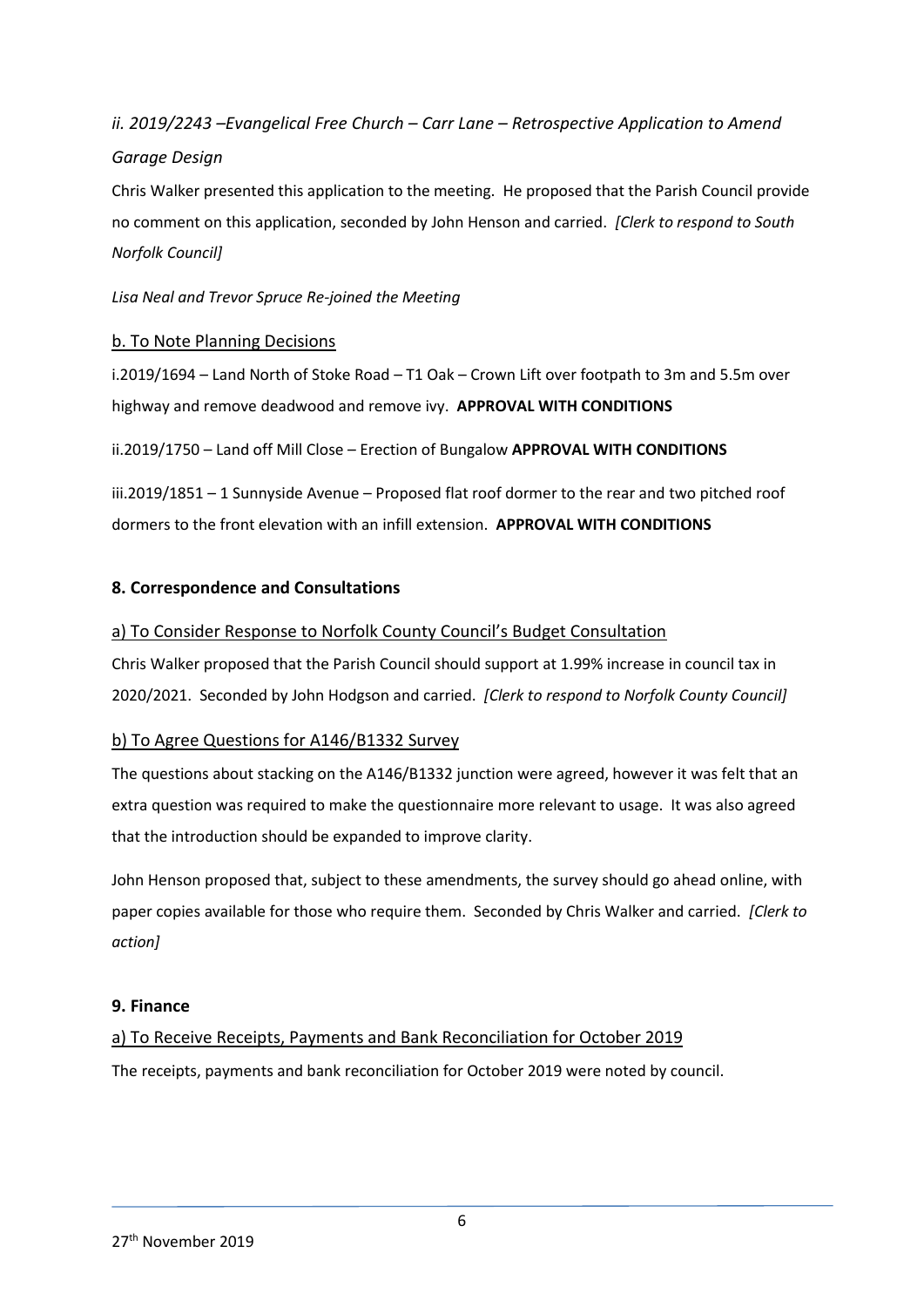# *ii. 2019/2243 –Evangelical Free Church – Carr Lane – Retrospective Application to Amend Garage Design*

Chris Walker presented this application to the meeting. He proposed that the Parish Council provide no comment on this application, seconded by John Henson and carried. *[Clerk to respond to South Norfolk Council]*

*Lisa Neal and Trevor Spruce Re-joined the Meeting* 

# b. To Note Planning Decisions

i.2019/1694 – Land North of Stoke Road – T1 Oak – Crown Lift over footpath to 3m and 5.5m over highway and remove deadwood and remove ivy. **APPROVAL WITH CONDITIONS**

ii.2019/1750 – Land off Mill Close – Erection of Bungalow **APPROVAL WITH CONDITIONS**

iii.2019/1851 – 1 Sunnyside Avenue – Proposed flat roof dormer to the rear and two pitched roof dormers to the front elevation with an infill extension. **APPROVAL WITH CONDITIONS**

# **8. Correspondence and Consultations**

# a) To Consider Response to Norfolk County Council's Budget Consultation

Chris Walker proposed that the Parish Council should support at 1.99% increase in council tax in 2020/2021. Seconded by John Hodgson and carried. *[Clerk to respond to Norfolk County Council]*

## b) To Agree Questions for A146/B1332 Survey

The questions about stacking on the A146/B1332 junction were agreed, however it was felt that an extra question was required to make the questionnaire more relevant to usage. It was also agreed that the introduction should be expanded to improve clarity.

John Henson proposed that, subject to these amendments, the survey should go ahead online, with paper copies available for those who require them. Seconded by Chris Walker and carried. *[Clerk to action]*

## **9. Finance**

a) To Receive Receipts, Payments and Bank Reconciliation for October 2019 The receipts, payments and bank reconciliation for October 2019 were noted by council.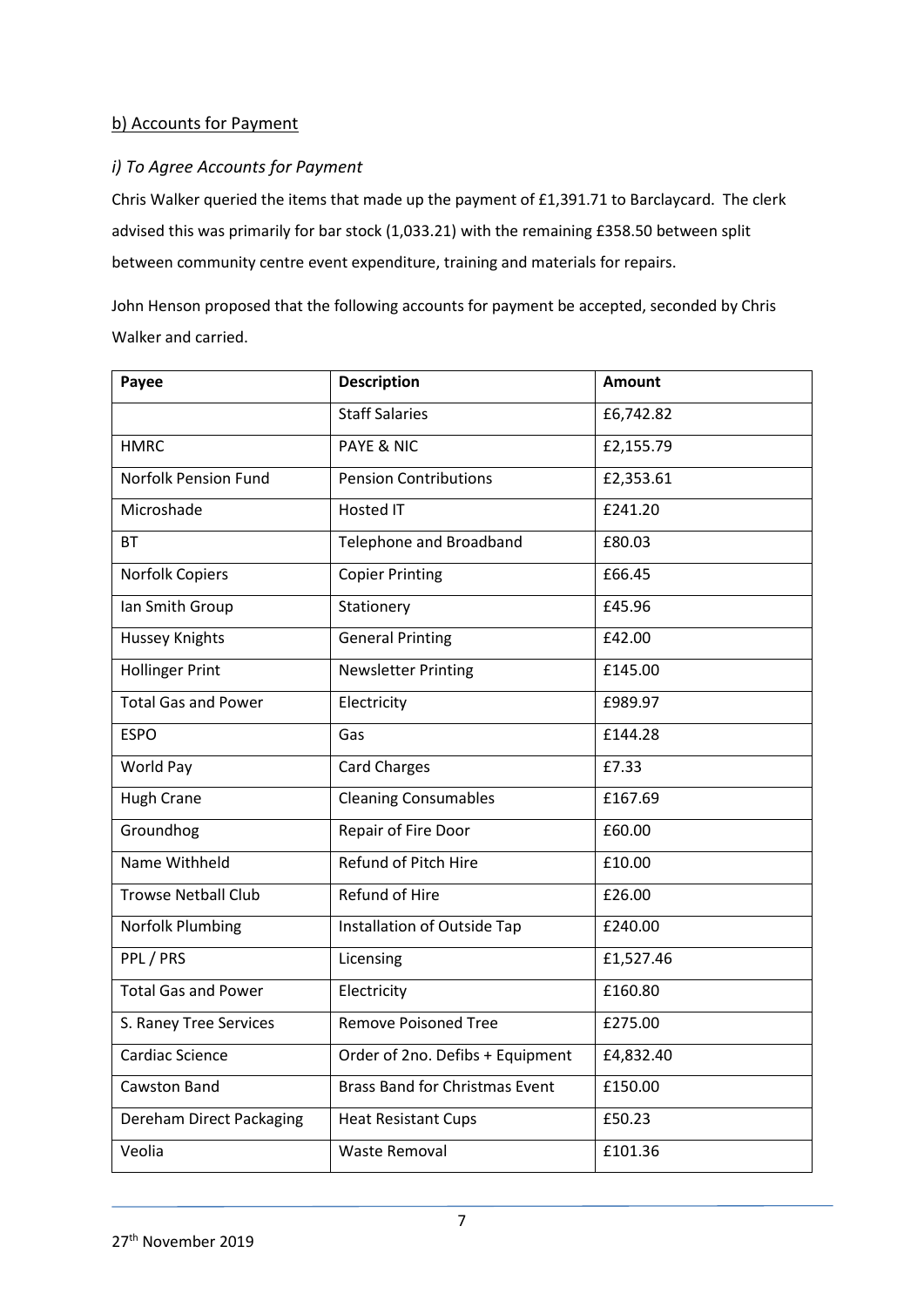# b) Accounts for Payment

# *i) To Agree Accounts for Payment*

Chris Walker queried the items that made up the payment of £1,391.71 to Barclaycard. The clerk advised this was primarily for bar stock (1,033.21) with the remaining £358.50 between split between community centre event expenditure, training and materials for repairs.

John Henson proposed that the following accounts for payment be accepted, seconded by Chris Walker and carried.

| Payee                       | <b>Description</b>                    | <b>Amount</b> |
|-----------------------------|---------------------------------------|---------------|
|                             | <b>Staff Salaries</b>                 | £6,742.82     |
| <b>HMRC</b>                 | <b>PAYE &amp; NIC</b>                 | £2,155.79     |
| <b>Norfolk Pension Fund</b> | <b>Pension Contributions</b>          | £2,353.61     |
| Microshade                  | <b>Hosted IT</b>                      | £241.20       |
| <b>BT</b>                   | Telephone and Broadband               | £80.03        |
| Norfolk Copiers             | <b>Copier Printing</b>                | £66.45        |
| Ian Smith Group             | Stationery                            | £45.96        |
| <b>Hussey Knights</b>       | <b>General Printing</b>               | £42.00        |
| <b>Hollinger Print</b>      | <b>Newsletter Printing</b>            | £145.00       |
| <b>Total Gas and Power</b>  | Electricity                           | £989.97       |
| <b>ESPO</b>                 | Gas                                   | £144.28       |
| World Pay                   | <b>Card Charges</b>                   | £7.33         |
| <b>Hugh Crane</b>           | <b>Cleaning Consumables</b>           | £167.69       |
| Groundhog                   | Repair of Fire Door                   | £60.00        |
| Name Withheld               | Refund of Pitch Hire                  | £10.00        |
| <b>Trowse Netball Club</b>  | <b>Refund of Hire</b>                 | £26.00        |
| Norfolk Plumbing            | Installation of Outside Tap           | £240.00       |
| PPL / PRS                   | Licensing                             | £1,527.46     |
| <b>Total Gas and Power</b>  | Electricity                           | £160.80       |
| S. Raney Tree Services      | <b>Remove Poisoned Tree</b>           | £275.00       |
| Cardiac Science             | Order of 2no. Defibs + Equipment      | £4,832.40     |
| <b>Cawston Band</b>         | <b>Brass Band for Christmas Event</b> | £150.00       |
| Dereham Direct Packaging    | <b>Heat Resistant Cups</b>            | £50.23        |
| Veolia                      | <b>Waste Removal</b>                  | £101.36       |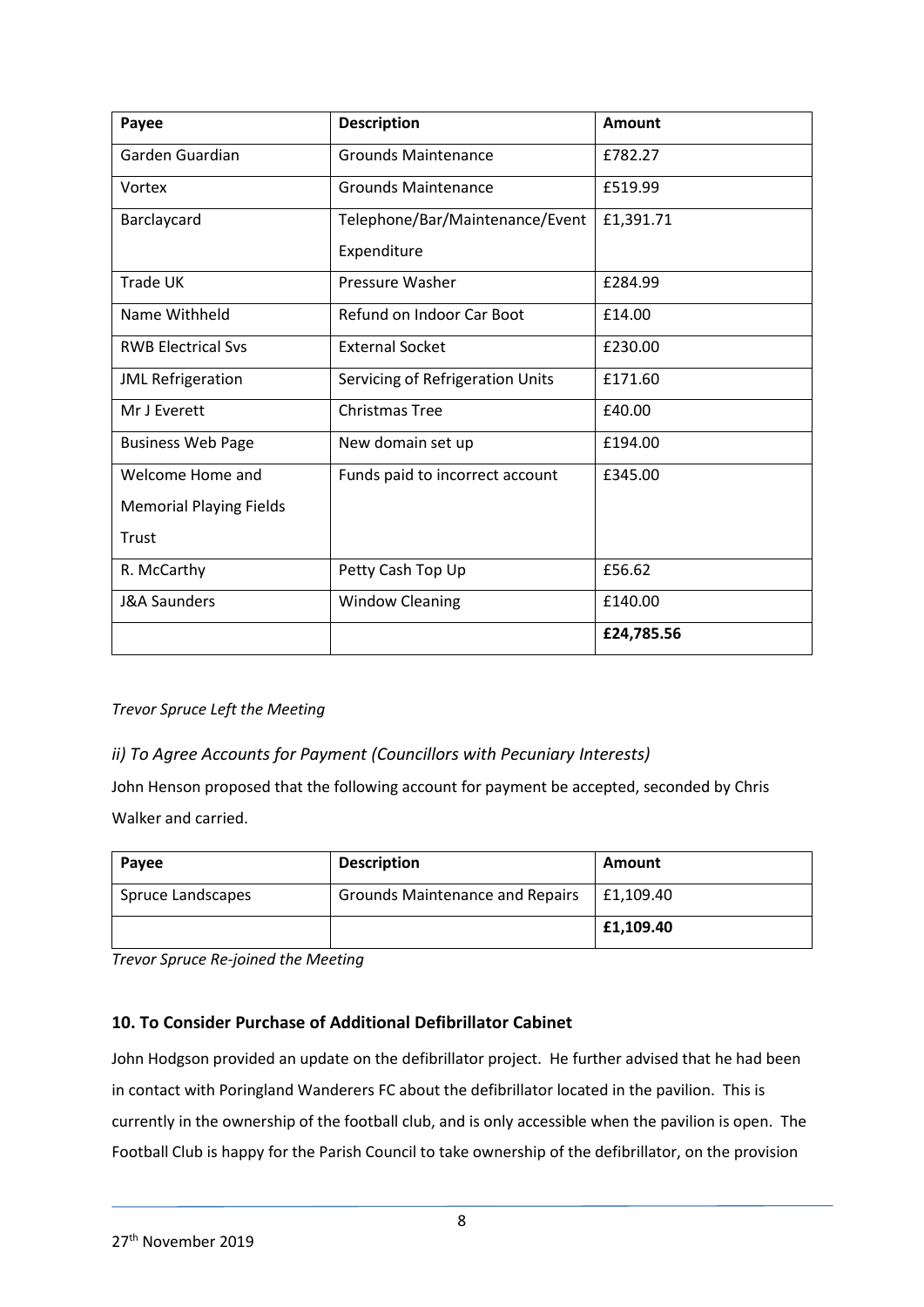| Payee                          | <b>Description</b>               | <b>Amount</b> |
|--------------------------------|----------------------------------|---------------|
| Garden Guardian                | <b>Grounds Maintenance</b>       | £782.27       |
| Vortex                         | <b>Grounds Maintenance</b>       | £519.99       |
| Barclaycard                    | Telephone/Bar/Maintenance/Event  | £1,391.71     |
|                                | Expenditure                      |               |
| <b>Trade UK</b>                | Pressure Washer                  | £284.99       |
| Name Withheld                  | Refund on Indoor Car Boot        | £14.00        |
| <b>RWB Electrical Svs</b>      | <b>External Socket</b>           | £230.00       |
| <b>JML Refrigeration</b>       | Servicing of Refrigeration Units | £171.60       |
| Mr J Everett                   | <b>Christmas Tree</b>            | £40.00        |
| <b>Business Web Page</b>       | New domain set up                | £194.00       |
| Welcome Home and               | Funds paid to incorrect account  | £345.00       |
| <b>Memorial Playing Fields</b> |                                  |               |
| Trust                          |                                  |               |
| R. McCarthy                    | Petty Cash Top Up                | £56.62        |
| <b>J&amp;A Saunders</b>        | <b>Window Cleaning</b>           | £140.00       |
|                                |                                  | £24,785.56    |

## *Trevor Spruce Left the Meeting*

# *ii) To Agree Accounts for Payment (Councillors with Pecuniary Interests)*

John Henson proposed that the following account for payment be accepted, seconded by Chris Walker and carried.

| Payee             | <b>Description</b>                     | Amount    |
|-------------------|----------------------------------------|-----------|
| Spruce Landscapes | <b>Grounds Maintenance and Repairs</b> | £1,109.40 |
|                   |                                        | £1,109.40 |

*Trevor Spruce Re-joined the Meeting*

## **10. To Consider Purchase of Additional Defibrillator Cabinet**

John Hodgson provided an update on the defibrillator project. He further advised that he had been in contact with Poringland Wanderers FC about the defibrillator located in the pavilion. This is currently in the ownership of the football club, and is only accessible when the pavilion is open. The Football Club is happy for the Parish Council to take ownership of the defibrillator, on the provision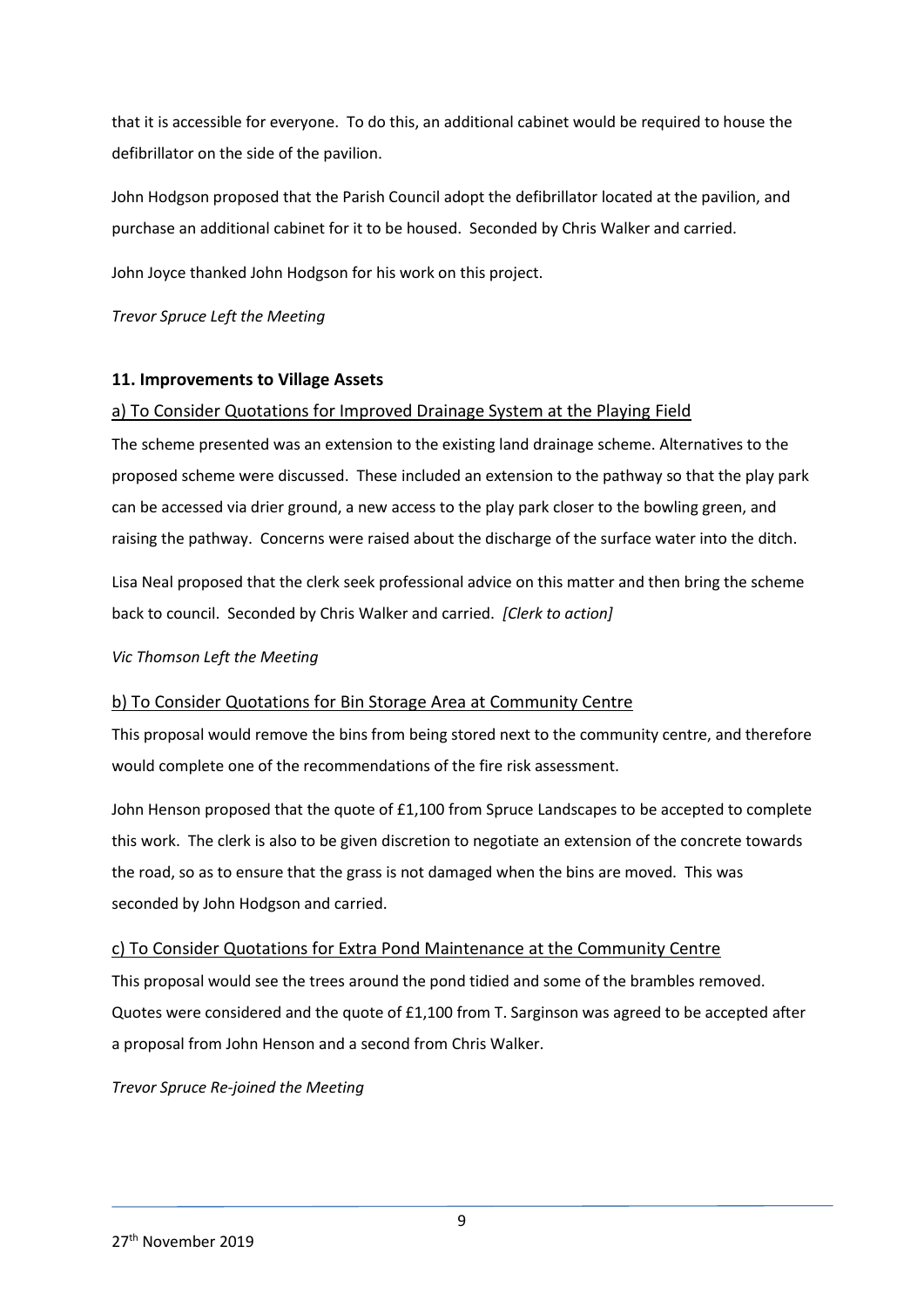that it is accessible for everyone. To do this, an additional cabinet would be required to house the defibrillator on the side of the pavilion.

John Hodgson proposed that the Parish Council adopt the defibrillator located at the pavilion, and purchase an additional cabinet for it to be housed. Seconded by Chris Walker and carried.

John Joyce thanked John Hodgson for his work on this project.

*Trevor Spruce Left the Meeting*

## **11. Improvements to Village Assets**

## a) To Consider Quotations for Improved Drainage System at the Playing Field

The scheme presented was an extension to the existing land drainage scheme. Alternatives to the proposed scheme were discussed. These included an extension to the pathway so that the play park can be accessed via drier ground, a new access to the play park closer to the bowling green, and raising the pathway. Concerns were raised about the discharge of the surface water into the ditch.

Lisa Neal proposed that the clerk seek professional advice on this matter and then bring the scheme back to council. Seconded by Chris Walker and carried. *[Clerk to action]*

## *Vic Thomson Left the Meeting*

## b) To Consider Quotations for Bin Storage Area at Community Centre

This proposal would remove the bins from being stored next to the community centre, and therefore would complete one of the recommendations of the fire risk assessment.

John Henson proposed that the quote of £1,100 from Spruce Landscapes to be accepted to complete this work. The clerk is also to be given discretion to negotiate an extension of the concrete towards the road, so as to ensure that the grass is not damaged when the bins are moved. This was seconded by John Hodgson and carried.

## c) To Consider Quotations for Extra Pond Maintenance at the Community Centre

This proposal would see the trees around the pond tidied and some of the brambles removed. Quotes were considered and the quote of £1,100 from T. Sarginson was agreed to be accepted after a proposal from John Henson and a second from Chris Walker.

*Trevor Spruce Re-joined the Meeting*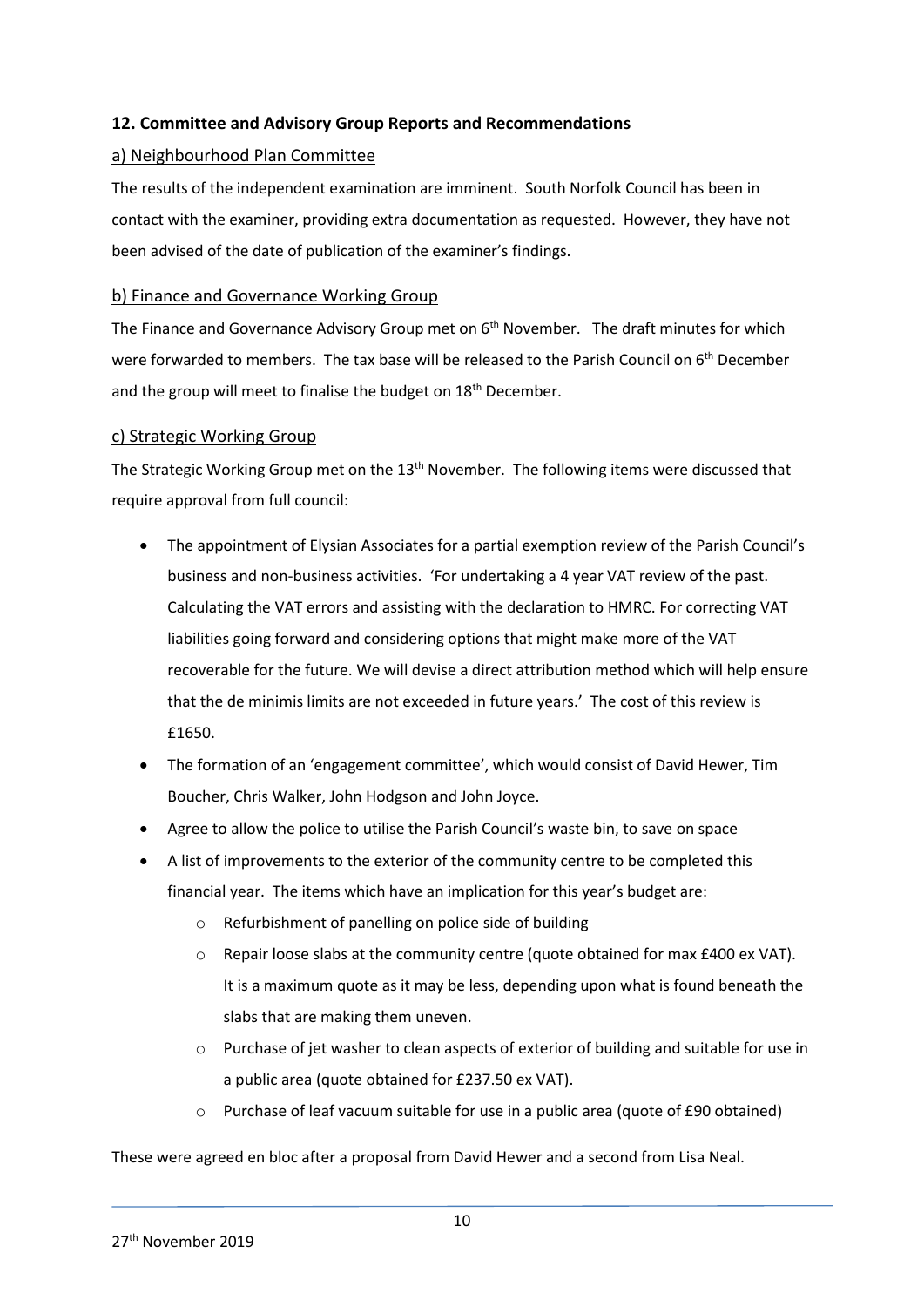# **12. Committee and Advisory Group Reports and Recommendations**

## a) Neighbourhood Plan Committee

The results of the independent examination are imminent. South Norfolk Council has been in contact with the examiner, providing extra documentation as requested. However, they have not been advised of the date of publication of the examiner's findings.

#### b) Finance and Governance Working Group

The Finance and Governance Advisory Group met on  $6<sup>th</sup>$  November. The draft minutes for which were forwarded to members. The tax base will be released to the Parish Council on 6<sup>th</sup> December and the group will meet to finalise the budget on 18<sup>th</sup> December.

#### c) Strategic Working Group

The Strategic Working Group met on the 13<sup>th</sup> November. The following items were discussed that require approval from full council:

- The appointment of Elysian Associates for a partial exemption review of the Parish Council's business and non-business activities. 'For undertaking a 4 year VAT review of the past. Calculating the VAT errors and assisting with the declaration to HMRC. For correcting VAT liabilities going forward and considering options that might make more of the VAT recoverable for the future. We will devise a direct attribution method which will help ensure that the de minimis limits are not exceeded in future years.' The cost of this review is £1650.
- The formation of an 'engagement committee', which would consist of David Hewer, Tim Boucher, Chris Walker, John Hodgson and John Joyce.
- Agree to allow the police to utilise the Parish Council's waste bin, to save on space
- A list of improvements to the exterior of the community centre to be completed this financial year. The items which have an implication for this year's budget are:
	- o Refurbishment of panelling on police side of building
	- $\circ$  Repair loose slabs at the community centre (quote obtained for max £400 ex VAT). It is a maximum quote as it may be less, depending upon what is found beneath the slabs that are making them uneven.
	- o Purchase of jet washer to clean aspects of exterior of building and suitable for use in a public area (quote obtained for £237.50 ex VAT).
	- o Purchase of leaf vacuum suitable for use in a public area (quote of £90 obtained)

These were agreed en bloc after a proposal from David Hewer and a second from Lisa Neal.